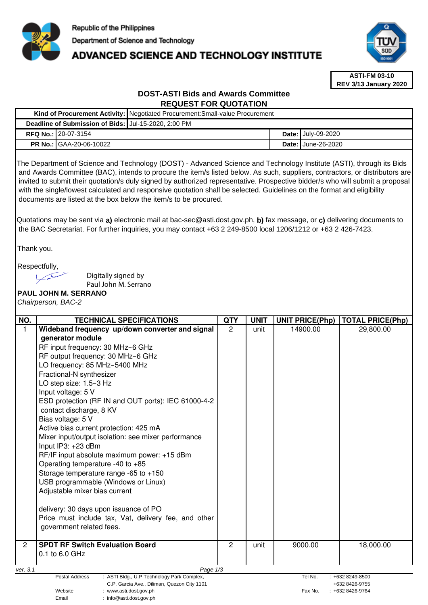

**Kind of Procurement Activity:** Negotiated Procurement:Small-value Procurement

# ADVANCED SCIENCE AND TECHNOLOGY INSTITUTE



**ASTI-FM 03-10 REV 3/13 January 2020**

# **DOST-ASTI Bids and Awards Committee REQUEST FOR QUOTATION**

| Deadline of Submission of Bids: Jul-15-2020, 2:00 PM |                                                                                                                                                                                                                                                                                                                                                                                                                                                                                                                                                                                                                                                                                                                                                                                                                                  |                |              |       |                        |                                                           |  |  |  |  |
|------------------------------------------------------|----------------------------------------------------------------------------------------------------------------------------------------------------------------------------------------------------------------------------------------------------------------------------------------------------------------------------------------------------------------------------------------------------------------------------------------------------------------------------------------------------------------------------------------------------------------------------------------------------------------------------------------------------------------------------------------------------------------------------------------------------------------------------------------------------------------------------------|----------------|--------------|-------|------------------------|-----------------------------------------------------------|--|--|--|--|
|                                                      | RFQ No.: 20-07-3154                                                                                                                                                                                                                                                                                                                                                                                                                                                                                                                                                                                                                                                                                                                                                                                                              | Date:          | July-09-2020 |       |                        |                                                           |  |  |  |  |
|                                                      | PR No.: GAA-20-06-10022                                                                                                                                                                                                                                                                                                                                                                                                                                                                                                                                                                                                                                                                                                                                                                                                          |                |              | Date: | June-26-2020           |                                                           |  |  |  |  |
|                                                      | The Department of Science and Technology (DOST) - Advanced Science and Technology Institute (ASTI), through its Bids<br>and Awards Committee (BAC), intends to procure the item/s listed below. As such, suppliers, contractors, or distributors are<br>invited to submit their quotation/s duly signed by authorized representative. Prospective bidder/s who will submit a proposal<br>with the single/lowest calculated and responsive quotation shall be selected. Guidelines on the format and eligibility<br>documents are listed at the box below the item/s to be procured.<br>Quotations may be sent via a) electronic mail at bac-sec@asti.dost.gov.ph, b) fax message, or c) delivering documents to<br>the BAC Secretariat. For further inquiries, you may contact +63 2 249-8500 local 1206/1212 or +63 2 426-7423. |                |              |       |                        |                                                           |  |  |  |  |
| Thank you.                                           |                                                                                                                                                                                                                                                                                                                                                                                                                                                                                                                                                                                                                                                                                                                                                                                                                                  |                |              |       |                        |                                                           |  |  |  |  |
|                                                      | Respectfully,<br>Digitally signed by<br>Paul John M. Serrano<br><b>PAUL JOHN M. SERRANO</b><br>Chairperson, BAC-2                                                                                                                                                                                                                                                                                                                                                                                                                                                                                                                                                                                                                                                                                                                |                |              |       |                        |                                                           |  |  |  |  |
| NO.                                                  | <b>TECHNICAL SPECIFICATIONS</b>                                                                                                                                                                                                                                                                                                                                                                                                                                                                                                                                                                                                                                                                                                                                                                                                  | <b>QTY</b>     | <b>UNIT</b>  |       | <b>UNIT PRICE(Php)</b> | <b>TOTAL PRICE(Php)</b>                                   |  |  |  |  |
| $\mathbf{1}$                                         | Wideband frequency up/down converter and signal<br>generator module<br>RF input frequency: 30 MHz-6 GHz<br>RF output frequency: 30 MHz-6 GHz<br>LO frequency: 85 MHz-5400 MHz<br>Fractional-N synthesizer<br>LO step size: 1.5-3 Hz<br>Input voltage: 5 V<br>ESD protection (RF IN and OUT ports): IEC 61000-4-2<br>contact discharge, 8 KV<br>Bias voltage: 5 V<br>Active bias current protection: 425 mA<br>Mixer input/output isolation: see mixer performance<br>Input IP3: +23 dBm<br>RF/IF input absolute maximum power: +15 dBm<br>Operating temperature -40 to $+85$<br>Storage temperature range -65 to $+150$<br>USB programmable (Windows or Linux)<br>Adjustable mixer bias current<br>delivery: 30 days upon issuance of PO<br>Price must include tax, Vat, delivery fee, and other<br>government related fees.     | $\overline{2}$ | unit         |       | 14900.00               | 29,800.00                                                 |  |  |  |  |
| $\overline{2}$                                       | <b>SPDT RF Switch Evaluation Board</b><br>0.1 to 6.0 GHz                                                                                                                                                                                                                                                                                                                                                                                                                                                                                                                                                                                                                                                                                                                                                                         | $\overline{2}$ | unit         |       | 9000.00                | 18,000.00                                                 |  |  |  |  |
|                                                      |                                                                                                                                                                                                                                                                                                                                                                                                                                                                                                                                                                                                                                                                                                                                                                                                                                  |                |              |       |                        |                                                           |  |  |  |  |
| ver. 3.1                                             | Page 1/3<br>Postal Address<br>: ASTI Bldg., U.P Technology Park Complex,<br>C.P. Garcia Ave., Diliman, Quezon City 1101<br>Website<br>: www.asti.dost.gov.ph<br>Email<br>: info@asti.dost.gov.ph                                                                                                                                                                                                                                                                                                                                                                                                                                                                                                                                                                                                                                 |                |              |       | Tel No.<br>Fax No.     | $: +6328249 - 8500$<br>+632 8426-9755<br>: +632 8426-9764 |  |  |  |  |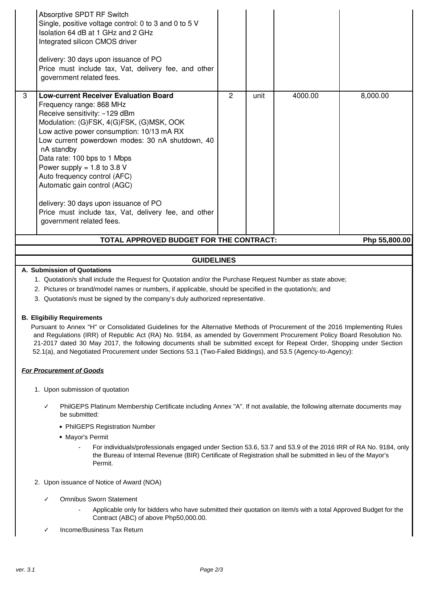| <b>GUIDELINES</b><br>A. Submission of Quotations         |                                                                                                                                                                                                                                                                                                                                                                                                                                                                                   |   |      |         |          |  |  |  |
|----------------------------------------------------------|-----------------------------------------------------------------------------------------------------------------------------------------------------------------------------------------------------------------------------------------------------------------------------------------------------------------------------------------------------------------------------------------------------------------------------------------------------------------------------------|---|------|---------|----------|--|--|--|
| TOTAL APPROVED BUDGET FOR THE CONTRACT:<br>Php 55,800.00 |                                                                                                                                                                                                                                                                                                                                                                                                                                                                                   |   |      |         |          |  |  |  |
|                                                          | Frequency range: 868 MHz<br>Receive sensitivity: -129 dBm<br>Modulation: (G)FSK, 4(G)FSK, (G)MSK, OOK<br>Low active power consumption: 10/13 mA RX<br>Low current powerdown modes: 30 nA shutdown, 40<br>nA standby<br>Data rate: 100 bps to 1 Mbps<br>Power supply = $1.8$ to 3.8 V<br>Auto frequency control (AFC)<br>Automatic gain control (AGC)<br>delivery: 30 days upon issuance of PO<br>Price must include tax, Vat, delivery fee, and other<br>government related fees. |   |      |         |          |  |  |  |
| 3                                                        | Absorptive SPDT RF Switch<br>Single, positive voltage control: 0 to 3 and 0 to 5 V<br>Isolation 64 dB at 1 GHz and 2 GHz<br>Integrated silicon CMOS driver<br>delivery: 30 days upon issuance of PO<br>Price must include tax, Vat, delivery fee, and other<br>government related fees.<br><b>Low-current Receiver Evaluation Board</b>                                                                                                                                           | 2 | unit | 4000.00 | 8,000.00 |  |  |  |

- 1. Quotation/s shall include the Request for Quotation and/or the Purchase Request Number as state above;
- 2. Pictures or brand/model names or numbers, if applicable, should be specified in the quotation/s; and
- 3. Quotation/s must be signed by the company's duly authorized representative.

#### **B. Eligibiliy Requirements**

Pursuant to Annex "H" or Consolidated Guidelines for the Alternative Methods of Procurement of the 2016 Implementing Rules and Regulations (IRR) of Republic Act (RA) No. 9184, as amended by Government Procurement Policy Board Resolution No. 21-2017 dated 30 May 2017, the following documents shall be submitted except for Repeat Order, Shopping under Section 52.1(a), and Negotiated Procurement under Sections 53.1 (Two-Failed Biddings), and 53.5 (Agency-to-Agency):

#### **For Procurement of Goods**

- 1. Upon submission of quotation
	- PhilGEPS Platinum Membership Certificate including Annex "A". If not available, the following alternate documents may be submitted:
		- PhilGEPS Registration Number
		- Mavor's Permit
			- For individuals/professionals engaged under Section 53.6, 53.7 and 53.9 of the 2016 IRR of RA No. 9184, only the Bureau of Internal Revenue (BIR) Certificate of Registration shall be submitted in lieu of the Mayor's Permit.
- 2. Upon issuance of Notice of Award (NOA)
	- ✓ Omnibus Sworn Statement
		- Applicable only for bidders who have submitted their quotation on item/s with a total Approved Budget for the Contract (ABC) of above Php50,000.00.
	- ✓ Income/Business Tax Return